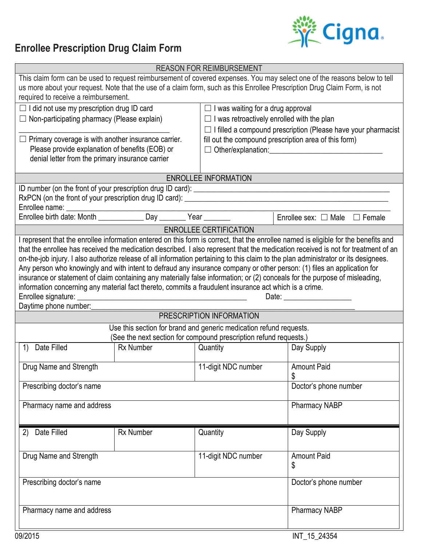## **Enrollee Prescription Drug Claim Form**



| <b>REASON FOR REIMBURSEMENT</b>                                                                                           |                       |                                                                                                                                                                                                                               |                                                                                                                                                                                                                                |  |  |  |  |  |  |
|---------------------------------------------------------------------------------------------------------------------------|-----------------------|-------------------------------------------------------------------------------------------------------------------------------------------------------------------------------------------------------------------------------|--------------------------------------------------------------------------------------------------------------------------------------------------------------------------------------------------------------------------------|--|--|--|--|--|--|
| This claim form can be used to request reimbursement of covered expenses. You may select one of the reasons below to tell |                       |                                                                                                                                                                                                                               |                                                                                                                                                                                                                                |  |  |  |  |  |  |
| us more about your request. Note that the use of a claim form, such as this Enrollee Prescription Drug Claim Form, is not |                       |                                                                                                                                                                                                                               |                                                                                                                                                                                                                                |  |  |  |  |  |  |
| required to receive a reimbursement.                                                                                      |                       |                                                                                                                                                                                                                               |                                                                                                                                                                                                                                |  |  |  |  |  |  |
| $\Box$ I did not use my prescription drug ID card                                                                         |                       | $\Box$ I was waiting for a drug approval                                                                                                                                                                                      |                                                                                                                                                                                                                                |  |  |  |  |  |  |
| $\Box$ Non-participating pharmacy (Please explain)                                                                        |                       | $\Box$ I was retroactively enrolled with the plan                                                                                                                                                                             |                                                                                                                                                                                                                                |  |  |  |  |  |  |
|                                                                                                                           |                       | $\Box$ I filled a compound prescription (Please have your pharmacist                                                                                                                                                          |                                                                                                                                                                                                                                |  |  |  |  |  |  |
| Primary coverage is with another insurance carrier.<br>⊔                                                                  |                       | fill out the compound prescription area of this form)                                                                                                                                                                         |                                                                                                                                                                                                                                |  |  |  |  |  |  |
| Please provide explanation of benefits (EOB) or                                                                           |                       | Other/explanation: Department of the Contract of the Contract of the Contract of the Contract of the Contract of the Contract of the Contract of the Contract of the Contract of the Contract of the Contract of the Contract |                                                                                                                                                                                                                                |  |  |  |  |  |  |
| denial letter from the primary insurance carrier                                                                          |                       |                                                                                                                                                                                                                               |                                                                                                                                                                                                                                |  |  |  |  |  |  |
|                                                                                                                           |                       |                                                                                                                                                                                                                               |                                                                                                                                                                                                                                |  |  |  |  |  |  |
| <b>ENROLLEE INFORMATION</b>                                                                                               |                       |                                                                                                                                                                                                                               |                                                                                                                                                                                                                                |  |  |  |  |  |  |
|                                                                                                                           |                       |                                                                                                                                                                                                                               |                                                                                                                                                                                                                                |  |  |  |  |  |  |
|                                                                                                                           |                       |                                                                                                                                                                                                                               |                                                                                                                                                                                                                                |  |  |  |  |  |  |
|                                                                                                                           |                       |                                                                                                                                                                                                                               |                                                                                                                                                                                                                                |  |  |  |  |  |  |
|                                                                                                                           |                       |                                                                                                                                                                                                                               | Enrollee sex: $\Box$ Male $\Box$ Female                                                                                                                                                                                        |  |  |  |  |  |  |
| <b>ENROLLEE CERTIFICATION</b>                                                                                             |                       |                                                                                                                                                                                                                               |                                                                                                                                                                                                                                |  |  |  |  |  |  |
|                                                                                                                           |                       |                                                                                                                                                                                                                               | I represent that the enrollee information entered on this form is correct, that the enrollee named is eligible for the benefits and                                                                                            |  |  |  |  |  |  |
|                                                                                                                           |                       |                                                                                                                                                                                                                               | that the enrollee has received the medication described. I also represent that the medication received is not for treatment of an                                                                                              |  |  |  |  |  |  |
|                                                                                                                           |                       |                                                                                                                                                                                                                               | on-the-job injury. I also authorize release of all information pertaining to this claim to the plan administrator or its designees.                                                                                            |  |  |  |  |  |  |
|                                                                                                                           |                       |                                                                                                                                                                                                                               | Any person who knowingly and with intent to defraud any insurance company or other person: (1) files an application for                                                                                                        |  |  |  |  |  |  |
|                                                                                                                           |                       |                                                                                                                                                                                                                               | insurance or statement of claim containing any materially false information; or (2) conceals for the purpose of misleading,                                                                                                    |  |  |  |  |  |  |
| information concerning any material fact thereto, commits a fraudulent insurance act which is a crime.                    |                       |                                                                                                                                                                                                                               |                                                                                                                                                                                                                                |  |  |  |  |  |  |
|                                                                                                                           |                       |                                                                                                                                                                                                                               | Date: the contract of the contract of the contract of the contract of the contract of the contract of the contract of the contract of the contract of the contract of the contract of the contract of the contract of the cont |  |  |  |  |  |  |
| Daytime phone number:_                                                                                                    |                       |                                                                                                                                                                                                                               |                                                                                                                                                                                                                                |  |  |  |  |  |  |
| PRESCRIPTION INFORMATION                                                                                                  |                       |                                                                                                                                                                                                                               |                                                                                                                                                                                                                                |  |  |  |  |  |  |
| Use this section for brand and generic medication refund requests.                                                        |                       |                                                                                                                                                                                                                               |                                                                                                                                                                                                                                |  |  |  |  |  |  |
| (See the next section for compound prescription refund requests.)                                                         |                       |                                                                                                                                                                                                                               |                                                                                                                                                                                                                                |  |  |  |  |  |  |
| Date Filled<br>$\left( \frac{1}{2} \right)$                                                                               | <b>Rx Number</b>      | Quantity                                                                                                                                                                                                                      | Day Supply                                                                                                                                                                                                                     |  |  |  |  |  |  |
|                                                                                                                           |                       |                                                                                                                                                                                                                               |                                                                                                                                                                                                                                |  |  |  |  |  |  |
| Drug Name and Strength                                                                                                    |                       | 11-digit NDC number                                                                                                                                                                                                           | <b>Amount Paid</b>                                                                                                                                                                                                             |  |  |  |  |  |  |
|                                                                                                                           | \$                    |                                                                                                                                                                                                                               |                                                                                                                                                                                                                                |  |  |  |  |  |  |
| Prescribing doctor's name                                                                                                 | Doctor's phone number |                                                                                                                                                                                                                               |                                                                                                                                                                                                                                |  |  |  |  |  |  |
|                                                                                                                           |                       |                                                                                                                                                                                                                               |                                                                                                                                                                                                                                |  |  |  |  |  |  |
| Pharmacy name and address                                                                                                 | Pharmacy NABP         |                                                                                                                                                                                                                               |                                                                                                                                                                                                                                |  |  |  |  |  |  |
|                                                                                                                           |                       |                                                                                                                                                                                                                               |                                                                                                                                                                                                                                |  |  |  |  |  |  |
| Date Filled<br>(2)                                                                                                        | <b>Rx Number</b>      | Quantity                                                                                                                                                                                                                      | Day Supply                                                                                                                                                                                                                     |  |  |  |  |  |  |
|                                                                                                                           |                       |                                                                                                                                                                                                                               |                                                                                                                                                                                                                                |  |  |  |  |  |  |
|                                                                                                                           |                       |                                                                                                                                                                                                                               |                                                                                                                                                                                                                                |  |  |  |  |  |  |
| Drug Name and Strength                                                                                                    |                       | 11-digit NDC number                                                                                                                                                                                                           | <b>Amount Paid</b>                                                                                                                                                                                                             |  |  |  |  |  |  |
|                                                                                                                           |                       |                                                                                                                                                                                                                               | \$                                                                                                                                                                                                                             |  |  |  |  |  |  |
|                                                                                                                           |                       |                                                                                                                                                                                                                               |                                                                                                                                                                                                                                |  |  |  |  |  |  |
| Prescribing doctor's name                                                                                                 | Doctor's phone number |                                                                                                                                                                                                                               |                                                                                                                                                                                                                                |  |  |  |  |  |  |
|                                                                                                                           |                       |                                                                                                                                                                                                                               |                                                                                                                                                                                                                                |  |  |  |  |  |  |
| Pharmacy name and address                                                                                                 | <b>Pharmacy NABP</b>  |                                                                                                                                                                                                                               |                                                                                                                                                                                                                                |  |  |  |  |  |  |
|                                                                                                                           |                       |                                                                                                                                                                                                                               |                                                                                                                                                                                                                                |  |  |  |  |  |  |
|                                                                                                                           |                       |                                                                                                                                                                                                                               |                                                                                                                                                                                                                                |  |  |  |  |  |  |